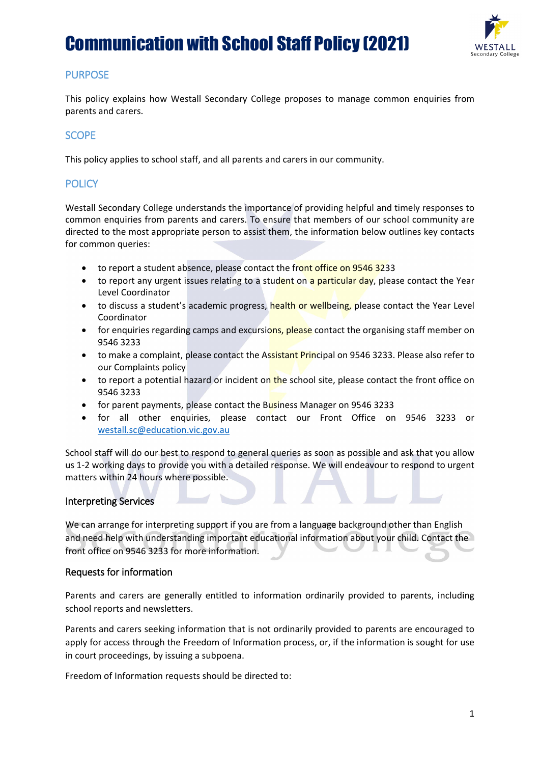# Communication with School Staff Policy (2021)



## **PURPOSE**

This policy explains how Westall Secondary College proposes to manage common enquiries from parents and carers.

#### **SCOPE**

This policy applies to school staff, and all parents and carers in our community.

## **POLICY**

Westall Secondary College understands the importance of providing helpful and timely responses to common enquiries from parents and carers. To ensure that members of our school community are directed to the most appropriate person to assist them, the information below outlines key contacts for common queries:

- to report a student absence, please contact the front office on 9546 3233
- to report any urgent issues relating to a student on a particular day, please contact the Year Level Coordinator
- to discuss a student's academic progress, health or wellbeing, please contact the Year Level Coordinator
- for enquiries regarding camps and excursions, please contact the organising staff member on 9546 3233
- to make a complaint, please contact the Assistant Principal on 9546 3233. Please also refer to our Complaints policy
- to report a potential hazard or incident on the school site, please contact the front office on 9546 3233
- for parent payments, please contact the Business Manager on 9546 3233

 $\overline{\phantom{a}}$ 

• for all other enquiries, please contact our Front Office on 9546 3233 or [westall.sc@education.vic.gov.au](mailto:westall.sc@education.vic.gov.au)

School staff will do our best to respond to general queries as soon as possible and ask that you allow us 1-2 working days to provide you with a detailed response. We will endeavour to respond to urgent matters within 24 hours where possible.

#### Interpreting Services

We can arrange for interpreting support if you are from a language background other than English and need help with understanding important educational information about your child. Contact the front office on 9546 3233 for more information.

#### Requests for information

Parents and carers are generally entitled to information ordinarily provided to parents, including school reports and newsletters.

Parents and carers seeking information that is not ordinarily provided to parents are encouraged to apply for access through the Freedom of Information process, or, if the information is sought for use in court proceedings, by issuing a subpoena.

Freedom of Information requests should be directed to: